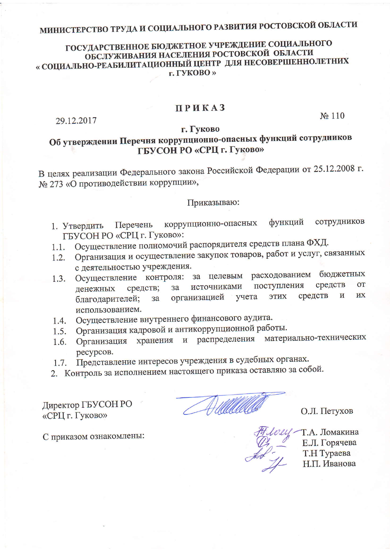# МИНИСТЕРСТВО ТРУДА И СОЦИАЛЬНОГО РАЗВИТИЯ РОСТОВСКОЙ ОБЛАСТИ

## ГОСУДАРСТВЕННОЕ БЮДЖЕТНОЕ УЧРЕЖДЕНИЕ СОЦИАЛЬНОГО ОБСЛУЖИВАНИЯ НАСЕЛЕНИЯ РОСТОВСКОЙ ОБЛАСТИ « СОЦИАЛЬНО-РЕАБИЛИТАЦИОННЫЙ ЦЕНТР ДЛЯ НЕСОВЕРШЕННОЛЕТНИХ г. ГУКОВО»

### **ПРИКАЗ**

29.12.2017

No 110

#### г. Гуково

## Об утверждении Перечня коррупционно-опасных функций сотрудников ГБУСОН РО «СРЦ г. Гуково»

В целях реализации Федерального закона Российской Федерации от 25.12.2008 г. № 273 «О противодействии коррупции»,

#### Приказываю:

- сотрудников функций коррупционно-опасных Перечень 1. Утвердить ГБУСОН РО «СРЦ г. Гуково»:
- Осуществление полномочий распорядителя средств плана ФХД.  $1.1.$
- Организация и осуществление закупок товаров, работ и услуг, связанных  $1.2.$ с деятельностью учреждения.
- Осуществление контроля: за целевым расходованием бюджетных  $1.3.$ средств поступления **OT** источниками средств;  $3a$ денежных **HX** средств учета ЭТИХ  $\overline{M}$ организацией благодарителей;  $3a$ использованием.
- Осуществление внутреннего финансового аудита.  $1.4.$
- Организация кадровой и антикоррупционной работы.  $1.5.$
- распределения материально-технических хранения  $\mathbf H$ Организация  $1.6.$ ресурсов.
- Представление интересов учреждения в судебных органах.  $1.7.$
- 2. Контроль за исполнением настоящего приказа оставляю за собой.

Директор ГБУСОН РО «СРЦ г. Гуково»

О.Л. Петухов

Т.А. Ломакина Е.Л. Горячева Т.Н Тураева Н.П. Иванова

С приказом ознакомлены: